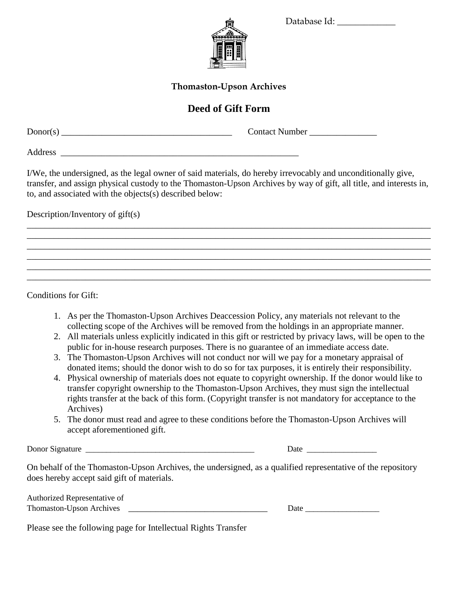Database Id:

**Thomaston-Upson Archives**

## **Deed of Gift Form**

Donor(s) \_\_\_\_\_\_\_\_\_\_\_\_\_\_\_\_\_\_\_\_\_\_\_\_\_\_\_\_\_\_\_\_\_\_\_\_\_\_ Contact Number \_\_\_\_\_\_\_\_\_\_\_\_\_\_\_

Address \_\_\_\_\_\_\_\_\_\_\_\_\_\_\_\_\_\_\_\_\_\_\_\_\_\_\_\_\_\_\_\_\_\_\_\_\_\_\_\_\_\_\_\_\_\_\_\_\_\_\_\_\_

I/We, the undersigned, as the legal owner of said materials, do hereby irrevocably and unconditionally give, transfer, and assign physical custody to the Thomaston-Upson Archives by way of gift, all title, and interests in, to, and associated with the objects(s) described below:

\_\_\_\_\_\_\_\_\_\_\_\_\_\_\_\_\_\_\_\_\_\_\_\_\_\_\_\_\_\_\_\_\_\_\_\_\_\_\_\_\_\_\_\_\_\_\_\_\_\_\_\_\_\_\_\_\_\_\_\_\_\_\_\_\_\_\_\_\_\_\_\_\_\_\_\_\_\_\_\_\_\_\_\_\_\_\_\_\_\_ \_\_\_\_\_\_\_\_\_\_\_\_\_\_\_\_\_\_\_\_\_\_\_\_\_\_\_\_\_\_\_\_\_\_\_\_\_\_\_\_\_\_\_\_\_\_\_\_\_\_\_\_\_\_\_\_\_\_\_\_\_\_\_\_\_\_\_\_\_\_\_\_\_\_\_\_\_\_\_\_\_\_\_\_\_\_\_\_\_\_ \_\_\_\_\_\_\_\_\_\_\_\_\_\_\_\_\_\_\_\_\_\_\_\_\_\_\_\_\_\_\_\_\_\_\_\_\_\_\_\_\_\_\_\_\_\_\_\_\_\_\_\_\_\_\_\_\_\_\_\_\_\_\_\_\_\_\_\_\_\_\_\_\_\_\_\_\_\_\_\_\_\_\_\_\_\_\_\_\_\_ \_\_\_\_\_\_\_\_\_\_\_\_\_\_\_\_\_\_\_\_\_\_\_\_\_\_\_\_\_\_\_\_\_\_\_\_\_\_\_\_\_\_\_\_\_\_\_\_\_\_\_\_\_\_\_\_\_\_\_\_\_\_\_\_\_\_\_\_\_\_\_\_\_\_\_\_\_\_\_\_\_\_\_\_\_\_\_\_\_\_ \_\_\_\_\_\_\_\_\_\_\_\_\_\_\_\_\_\_\_\_\_\_\_\_\_\_\_\_\_\_\_\_\_\_\_\_\_\_\_\_\_\_\_\_\_\_\_\_\_\_\_\_\_\_\_\_\_\_\_\_\_\_\_\_\_\_\_\_\_\_\_\_\_\_\_\_\_\_\_\_\_\_\_\_\_\_\_\_\_\_ \_\_\_\_\_\_\_\_\_\_\_\_\_\_\_\_\_\_\_\_\_\_\_\_\_\_\_\_\_\_\_\_\_\_\_\_\_\_\_\_\_\_\_\_\_\_\_\_\_\_\_\_\_\_\_\_\_\_\_\_\_\_\_\_\_\_\_\_\_\_\_\_\_\_\_\_\_\_\_\_\_\_\_\_\_\_\_\_\_\_

Description/Inventory of gift(s)

Conditions for Gift:

- 1. As per the Thomaston-Upson Archives Deaccession Policy, any materials not relevant to the collecting scope of the Archives will be removed from the holdings in an appropriate manner.
- 2. All materials unless explicitly indicated in this gift or restricted by privacy laws, will be open to the public for in-house research purposes. There is no guarantee of an immediate access date.
- 3. The Thomaston-Upson Archives will not conduct nor will we pay for a monetary appraisal of donated items; should the donor wish to do so for tax purposes, it is entirely their responsibility.
- 4. Physical ownership of materials does not equate to copyright ownership. If the donor would like to transfer copyright ownership to the Thomaston-Upson Archives, they must sign the intellectual rights transfer at the back of this form. (Copyright transfer is not mandatory for acceptance to the Archives)
- 5. The donor must read and agree to these conditions before the Thomaston-Upson Archives will accept aforementioned gift.

Donor Signature \_\_\_\_\_\_\_\_\_\_\_\_\_\_\_\_\_\_\_\_\_\_\_\_\_\_\_\_\_\_\_\_\_\_\_\_\_\_\_\_\_ Date \_\_\_\_\_\_\_\_\_\_\_\_\_\_\_\_\_

On behalf of the Thomaston-Upson Archives, the undersigned, as a qualified representative of the repository does hereby accept said gift of materials.

| Authorized Representative of |  |
|------------------------------|--|
| Thomaston-Upson Archives     |  |

 $Date$ 

Please see the following page for Intellectual Rights Transfer